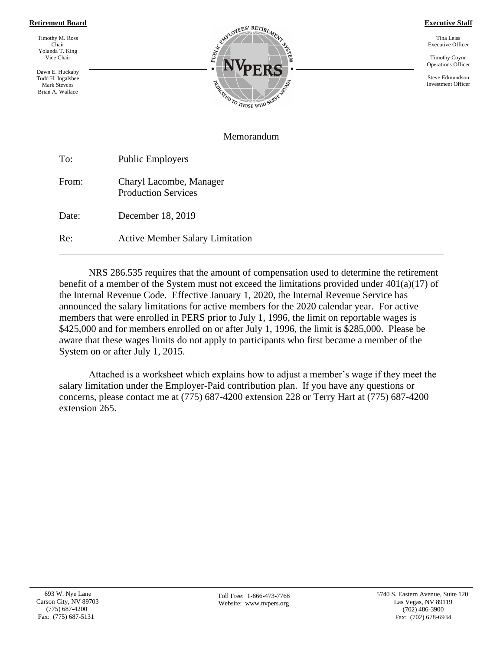## **Retirement Board**

Timothy M. Ross Chair Yolanda T. King Vice Chair

Dawn E. Huckaby Todd H. Ingalsbee Mark Stevens Brian A. Wallace



**Executive Staff**

Tina Leiss Executive Officer

Timothy Coyne Operations Officer

Steve Edmundson Investment Officer

## Memorandum

To: Public Employers From: Charyl Lacombe, Manager Production Services Date: December 18, 2019 Re: Active Member Salary Limitation

NRS 286.535 requires that the amount of compensation used to determine the retirement benefit of a member of the System must not exceed the limitations provided under 401(a)(17) of the Internal Revenue Code. Effective January 1, 2020, the Internal Revenue Service has announced the salary limitations for active members for the 2020 calendar year. For active members that were enrolled in PERS prior to July 1, 1996, the limit on reportable wages is \$425,000 and for members enrolled on or after July 1, 1996, the limit is \$285,000. Please be aware that these wages limits do not apply to participants who first became a member of the System on or after July 1, 2015.

Attached is a worksheet which explains how to adjust a member's wage if they meet the salary limitation under the Employer-Paid contribution plan. If you have any questions or concerns, please contact me at (775) 687-4200 extension 228 or Terry Hart at (775) 687-4200 extension 265.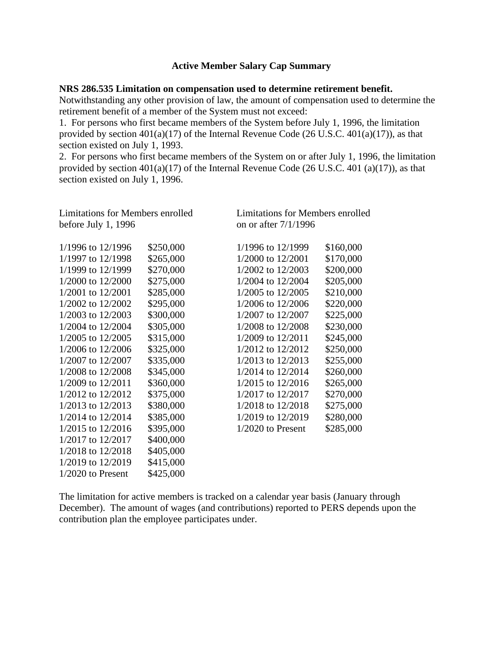## **Active Member Salary Cap Summary**

## **NRS 286.535 Limitation on compensation used to determine retirement benefit.**

Notwithstanding any other provision of law, the amount of compensation used to determine the retirement benefit of a member of the System must not exceed:

1. For persons who first became members of the System before July 1, 1996, the limitation provided by section 401(a)(17) of the Internal Revenue Code (26 U.S.C. 401(a)(17)), as that section existed on July 1, 1993.

2. For persons who first became members of the System on or after July 1, 1996, the limitation provided by section 401(a)(17) of the Internal Revenue Code (26 U.S.C. 401 (a)(17)), as that section existed on July 1, 1996.

| Limitations for Members enrolled |           | Limitations for Members enrolled<br>on or after $7/1/1996$ |           |
|----------------------------------|-----------|------------------------------------------------------------|-----------|
| before July 1, $1996$            |           |                                                            |           |
| 1/1996 to 12/1996                | \$250,000 | 1/1996 to 12/1999                                          | \$160,000 |
| 1/1997 to 12/1998                | \$265,000 | 1/2000 to 12/2001                                          | \$170,000 |
| 1/1999 to 12/1999                | \$270,000 | 1/2002 to 12/2003                                          | \$200,000 |
| 1/2000 to 12/2000                | \$275,000 | 1/2004 to 12/2004                                          | \$205,000 |
| 1/2001 to 12/2001                | \$285,000 | 1/2005 to 12/2005                                          | \$210,000 |
| 1/2002 to 12/2002                | \$295,000 | 1/2006 to 12/2006                                          | \$220,000 |
| 1/2003 to 12/2003                | \$300,000 | 1/2007 to 12/2007                                          | \$225,000 |
| 1/2004 to 12/2004                | \$305,000 | 1/2008 to 12/2008                                          | \$230,000 |
| 1/2005 to 12/2005                | \$315,000 | 1/2009 to 12/2011                                          | \$245,000 |
| 1/2006 to 12/2006                | \$325,000 | 1/2012 to 12/2012                                          | \$250,000 |
| 1/2007 to 12/2007                | \$335,000 | 1/2013 to 12/2013                                          | \$255,000 |
| 1/2008 to 12/2008                | \$345,000 | 1/2014 to 12/2014                                          | \$260,000 |
| 1/2009 to 12/2011                | \$360,000 | 1/2015 to 12/2016                                          | \$265,000 |
| 1/2012 to 12/2012                | \$375,000 | 1/2017 to 12/2017                                          | \$270,000 |
| 1/2013 to 12/2013                | \$380,000 | 1/2018 to 12/2018                                          | \$275,000 |
| 1/2014 to 12/2014                | \$385,000 | 1/2019 to 12/2019                                          | \$280,000 |
| 1/2015 to 12/2016                | \$395,000 | $1/2020$ to Present                                        | \$285,000 |
| 1/2017 to 12/2017                | \$400,000 |                                                            |           |
| 1/2018 to 12/2018                | \$405,000 |                                                            |           |
| 1/2019 to 12/2019                | \$415,000 |                                                            |           |
| $1/2020$ to Present              | \$425,000 |                                                            |           |

The limitation for active members is tracked on a calendar year basis (January through December). The amount of wages (and contributions) reported to PERS depends upon the contribution plan the employee participates under.